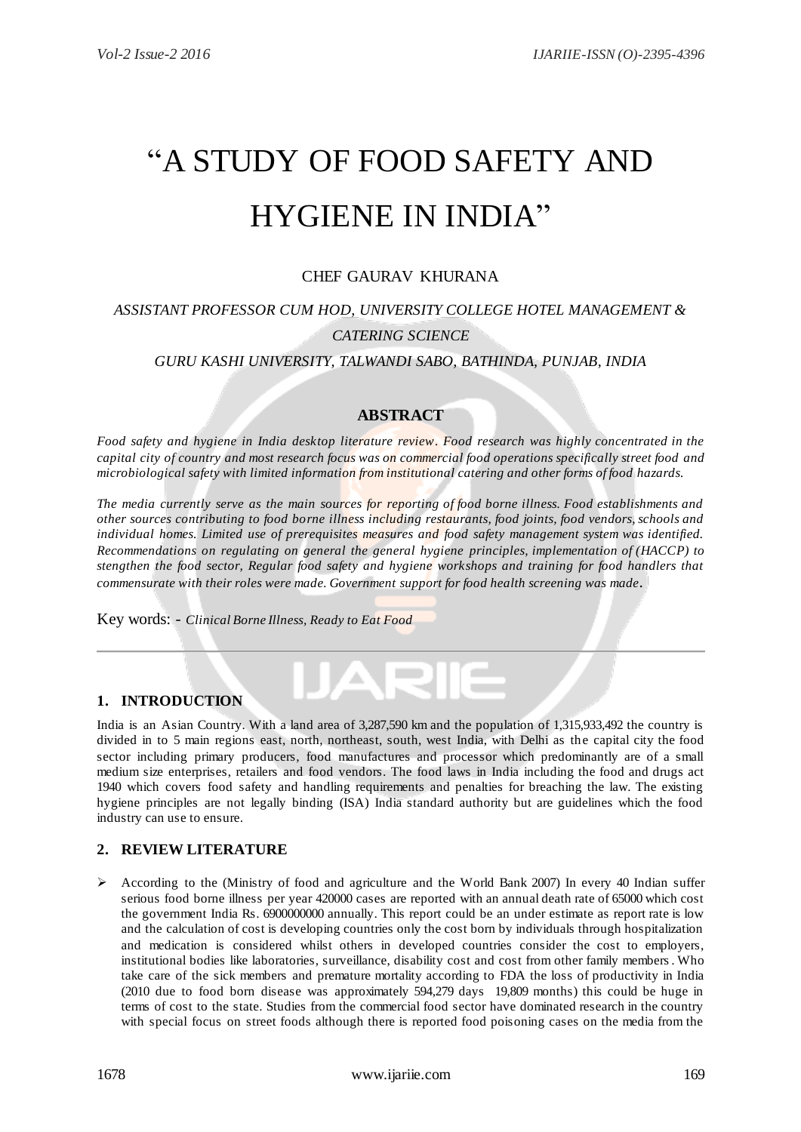# "A STUDY OF FOOD SAFETY AND HYGIENE IN INDIA"

#### CHEF GAURAV KHURANA

### *ASSISTANT PROFESSOR CUM HOD, UNIVERSITY COLLEGE HOTEL MANAGEMENT & CATERING SCIENCE GURU KASHI UNIVERSITY, TALWANDI SABO, BATHINDA, PUNJAB, INDIA*

#### **ABSTRACT**

*Food safety and hygiene in India desktop literature review. Food research was highly concentrated in the capital city of country and most research focus was on commercial food operations specifically street food and microbiological safety with limited information from institutional catering and other forms of food hazards.*

*The media currently serve as the main sources for reporting of food borne illness. Food establishments and other sources contributing to food borne illness including restaurants, food joints, food vendors, schools and individual homes. Limited use of prerequisites measures and food safety management system was identified. Recommendations on regulating on general the general hygiene principles, implementation of (HACCP) to stengthen the food sector, Regular food safety and hygiene workshops and training for food handlers that commensurate with their roles were made. Government support for food health screening was made*.

Key words: - *Clinical Borne Illness, Ready to Eat Food*

#### **1. INTRODUCTION**

India is an Asian Country. With a land area of 3,287,590 km and the population of 1,315,933,492 the country is divided in to 5 main regions east, north, northeast, south, west India, with Delhi as the capital city the food sector including primary producers, food manufactures and processor which predominantly are of a small medium size enterprises, retailers and food vendors. The food laws in India including the food and drugs act 1940 which covers food safety and handling requirements and penalties for breaching the law. The existing hygiene principles are not legally binding (ISA) India standard authority but are guidelines which the food industry can use to ensure.

#### **2. REVIEW LITERATURE**

 $\triangleright$  According to the (Ministry of food and agriculture and the World Bank 2007) In every 40 Indian suffer serious food borne illness per year 420000 cases are reported with an annual death rate of 65000 which cost the government India Rs. 6900000000 annually. This report could be an under estimate as report rate is low and the calculation of cost is developing countries only the cost born by individuals through hospitalization and medication is considered whilst others in developed countries consider the cost to employers, institutional bodies like laboratories, surveillance, disability cost and cost from other family members. Who take care of the sick members and premature mortality according to FDA the loss of productivity in India (2010 due to food born disease was approximately 594,279 days 19,809 months) this could be huge in terms of cost to the state. Studies from the commercial food sector have dominated research in the country with special focus on street foods although there is reported food poisoning cases on the media from the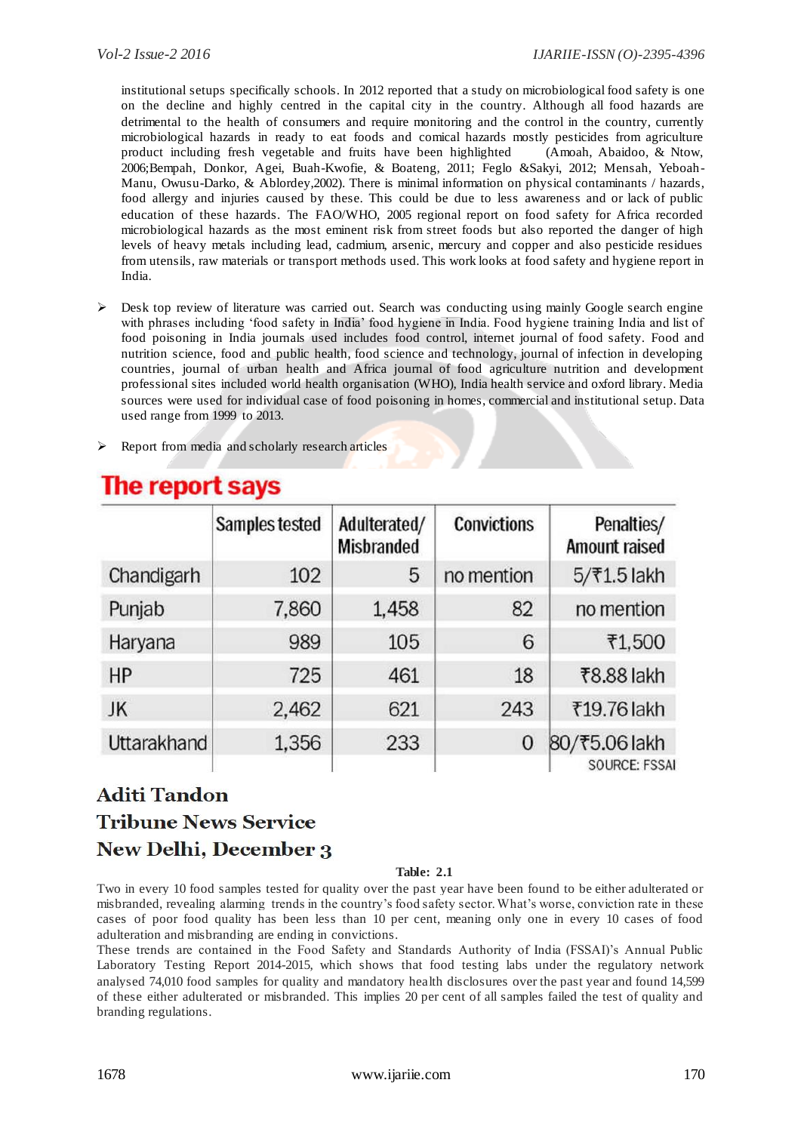institutional setups specifically schools. In 2012 reported that a study on microbiological food safety is one on the decline and highly centred in the capital city in the country. Although all food hazards are detrimental to the health of consumers and require monitoring and the control in the country, currently microbiological hazards in ready to eat foods and comical hazards mostly pesticides from agriculture product including fresh vegetable and fruits have been highlighted (Amoah, Abaidoo, & Ntow, 2006;Bempah, Donkor, Agei, Buah-Kwofie, & Boateng, 2011; Feglo &Sakyi, 2012; Mensah, Yeboah-Manu, Owusu-Darko, & Ablordey,2002). There is minimal information on physical contaminants / hazards, food allergy and injuries caused by these. This could be due to less awareness and or lack of public education of these hazards. The FAO/WHO, 2005 regional report on food safety for Africa recorded microbiological hazards as the most eminent risk from street foods but also reported the danger of high levels of heavy metals including lead, cadmium, arsenic, mercury and copper and also pesticide residues from utensils, raw materials or transport methods used. This work looks at food safety and hygiene report in India.

- $\triangleright$  Desk top review of literature was carried out. Search was conducting using mainly Google search engine with phrases including "food safety in India" food hygiene in India. Food hygiene training India and list of food poisoning in India journals used includes food control, internet journal of food safety. Food and nutrition science, food and public health, food science and technology, journal of infection in developing countries, journal of urban health and Africa journal of food agriculture nutrition and development professional sites included world health organisation (WHO), India health service and oxford library. Media sources were used for individual case of food poisoning in homes, commercial and institutional setup. Data used range from 1999 to 2013.
- $\triangleright$  Report from media and scholarly research articles

# The report says

|             | Samples tested | Adulterated/<br><b>Misbranded</b> | <b>Convictions</b> | Penalties/<br><b>Amount raised</b>    |
|-------------|----------------|-----------------------------------|--------------------|---------------------------------------|
| Chandigarh  | 102            | 5                                 | no mention         | 5/₹1.5 lakh                           |
| Punjab      | 7,860          | 1,458                             | 82                 | no mention                            |
| Haryana     | 989            | 105                               | 6                  | ₹1,500                                |
| HP          | 725            | 461                               | 18                 | ₹8.88 lakh                            |
| JK          | 2,462          | 621                               | 243                | ₹19.76 lakh                           |
| Uttarakhand | 1,356          | 233                               | 0                  | 80/₹5.06 lakh<br><b>SOURCE: FSSAI</b> |

## **Aditi Tandon Tribune News Service New Delhi, December 3**

#### **Table: 2.1**

Two in every 10 food samples tested for quality over the past year have been found to be either adulterated or misbranded, revealing alarming trends in the country"s food safety sector. What"s worse, conviction rate in these cases of poor food quality has been less than 10 per cent, meaning only one in every 10 cases of food adulteration and misbranding are ending in convictions.

These trends are contained in the Food Safety and Standards Authority of India (FSSAI)"s Annual Public Laboratory Testing Report 2014-2015, which shows that food testing labs under the regulatory network analysed 74,010 food samples for quality and mandatory health disclosures over the past year and found 14,599 of these either adulterated or misbranded. This implies 20 per cent of all samples failed the test of quality and branding regulations.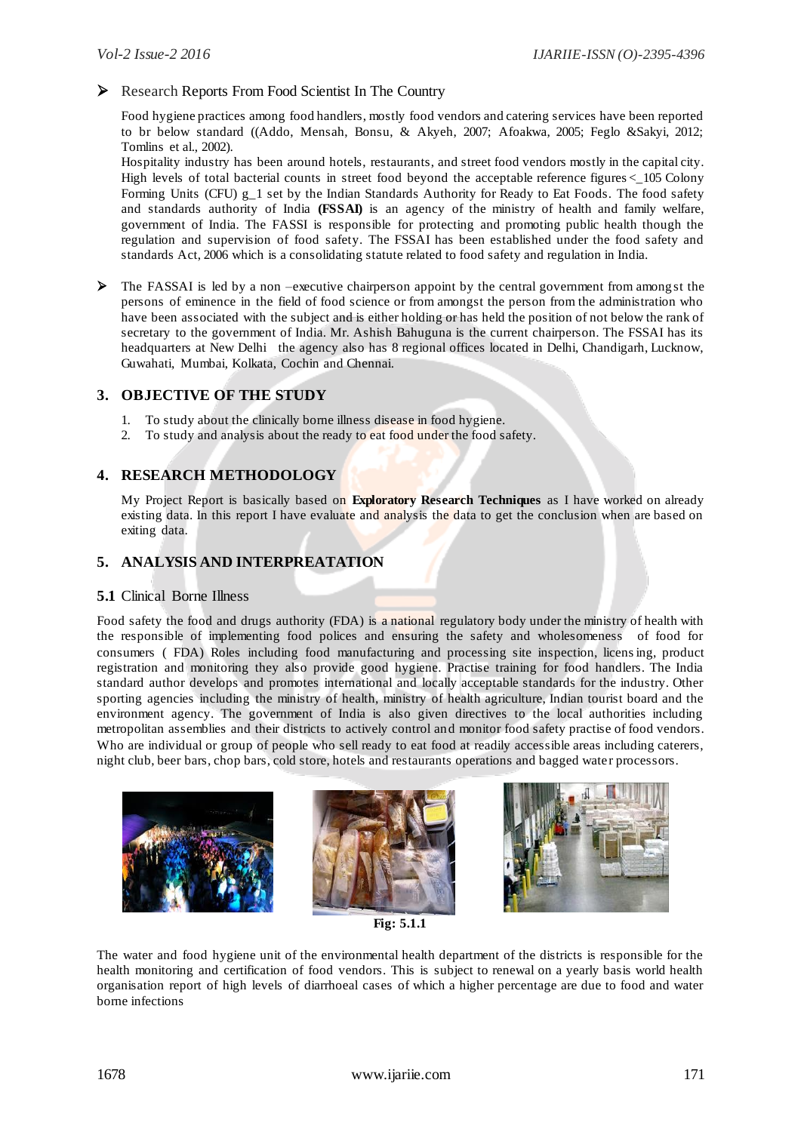Research Reports From Food Scientist In The Country

Food hygiene practices among food handlers, mostly food vendors and catering services have been reported to br below standard ((Addo, Mensah, Bonsu, & Akyeh, 2007; Afoakwa, 2005; Feglo &Sakyi, 2012; Tomlins et al., 2002).

Hospitality industry has been around hotels, restaurants, and street food vendors mostly in the capital city. High levels of total bacterial counts in street food beyond the acceptable reference figures < 105 Colony Forming Units (CFU) g\_1 set by the Indian Standards Authority for Ready to Eat Foods. The food safety and standards authority of India **(FSSAI)** is an agency of the ministry of health and family welfare, government of India. The FASSI is responsible for protecting and promoting public health though the regulation and supervision of food safety. The FSSAI has been established under the food safety and standards Act, 2006 which is a consolidating statute related to food safety and regulation in India.

 $\triangleright$  The FASSAI is led by a non –executive chairperson appoint by the central government from amongst the persons of eminence in the field of food science or from amongst the person from the administration who have been associated with the subject and is either holding or has held the position of not below the rank of secretary to the government of India. Mr. Ashish Bahuguna is the current chairperson. The FSSAI has its headquarters at New Delhi the agency also has 8 regional offices located in Delhi, Chandigarh, Lucknow, Guwahati, Mumbai, Kolkata, Cochin and Chennai.

#### **3. OBJECTIVE OF THE STUDY**

- 1. To study about the clinically borne illness disease in food hygiene.
- 2. To study and analysis about the ready to eat food under the food safety.

#### **4. RESEARCH METHODOLOGY**

My Project Report is basically based on **Exploratory Research Techniques** as I have worked on already existing data. In this report I have evaluate and analysis the data to get the conclusion when are based on exiting data.

#### **5. ANALYSIS AND INTERPREATATION**

#### **5.1** Clinical Borne Illness

Food safety the food and drugs authority (FDA) is a national regulatory body under the ministry of health with the responsible of implementing food polices and ensuring the safety and wholesomeness of food for consumers ( FDA) Roles including food manufacturing and processing site inspection, licensing, product registration and monitoring they also provide good hygiene. Practise training for food handlers. The India standard author develops and promotes international and locally acceptable standards for the industry. Other sporting agencies including the ministry of health, ministry of health agriculture, Indian tourist board and the environment agency. The government of India is also given directives to the local authorities including metropolitan assemblies and their districts to actively control and monitor food safety practise of food vendors. Who are individual or group of people who sell ready to eat food at readily accessible areas including caterers, night club, beer bars, chop bars, cold store, hotels and restaurants operations and bagged wate r processors.



**Fig: 5.1.1**

The water and food hygiene unit of the environmental health department of the districts is responsible for the health monitoring and certification of food vendors. This is subject to renewal on a yearly basis world health organisation report of high levels of diarrhoeal cases of which a higher percentage are due to food and water borne infections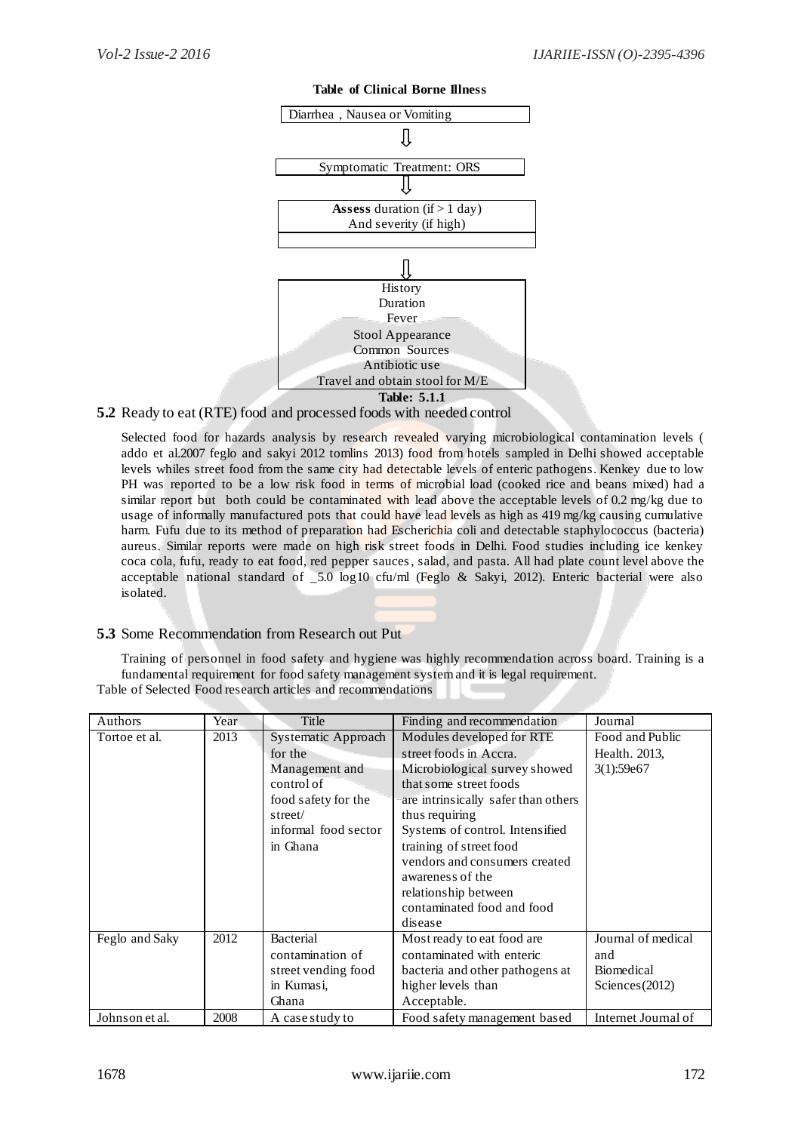

#### **Table of Clinical Borne Illness**

#### **5.2** Ready to eat (RTE) food and processed foods with needed control

Selected food for hazards analysis by research revealed varying microbiological contamination levels ( addo et al.2007 feglo and sakyi 2012 tomlins 2013) food from hotels sampled in Delhi showed acceptable levels whiles street food from the same city had detectable levels of enteric pathogens. Kenkey due to low PH was reported to be a low risk food in terms of microbial load (cooked rice and beans mixed) had a similar report but both could be contaminated with lead above the acceptable levels of 0.2 mg/kg due to usage of informally manufactured pots that could have lead levels as high as 419 mg/kg causing cumulative harm. Fufu due to its method of preparation had Escherichia coli and detectable staphylococcus (bacteria) aureus. Similar reports were made on high risk street foods in Delhi. Food studies including ice kenkey coca cola, fufu, ready to eat food, red pepper sauces, salad, and pasta. All had plate count level above the acceptable national standard of \_5.0 log10 cfu/ml (Feglo & Sakyi, 2012). Enteric bacterial were also isolated.

#### **5.3** Some Recommendation from Research out Put

Training of personnel in food safety and hygiene was highly recommendation across board. Training is a fundamental requirement for food safety management system and it is legal requirement. Table of Selected Food research articles and recommendations

| Authors        | Year | Title                | Finding and recommendation          | Journal             |
|----------------|------|----------------------|-------------------------------------|---------------------|
| Tortoe et al.  | 2013 | Systematic Approach  | Modules developed for RTE           | Food and Public     |
|                |      | for the              | street foods in Accra.              | Health. 2013.       |
|                |      | Management and       | Microbiological survey showed       | 3(1):59e67          |
|                |      | control of           | that some street foods              |                     |
|                |      | food safety for the  | are intrinsically safer than others |                     |
|                |      | street/              | thus requiring                      |                     |
|                |      | informal food sector | Systems of control. Intensified     |                     |
|                |      | in Ghana             | training of street food             |                     |
|                |      |                      | vendors and consumers created       |                     |
|                |      |                      | awareness of the                    |                     |
|                |      |                      | relationship between                |                     |
|                |      |                      | contaminated food and food          |                     |
|                |      |                      | disease                             |                     |
| Feglo and Saky | 2012 | Bacterial            | Most ready to eat food are          | Journal of medical  |
|                |      | contamination of     | contaminated with enteric           | and                 |
|                |      | street vending food  | bacteria and other pathogens at     | <b>Biomedical</b>   |
|                |      | in Kumasi,           | higher levels than                  | Sciences(2012)      |
|                |      | Ghana                | Acceptable.                         |                     |
| Johnson et al. | 2008 | A case study to      | Food safety management based        | Internet Journal of |

1678 www.ijariie.com 172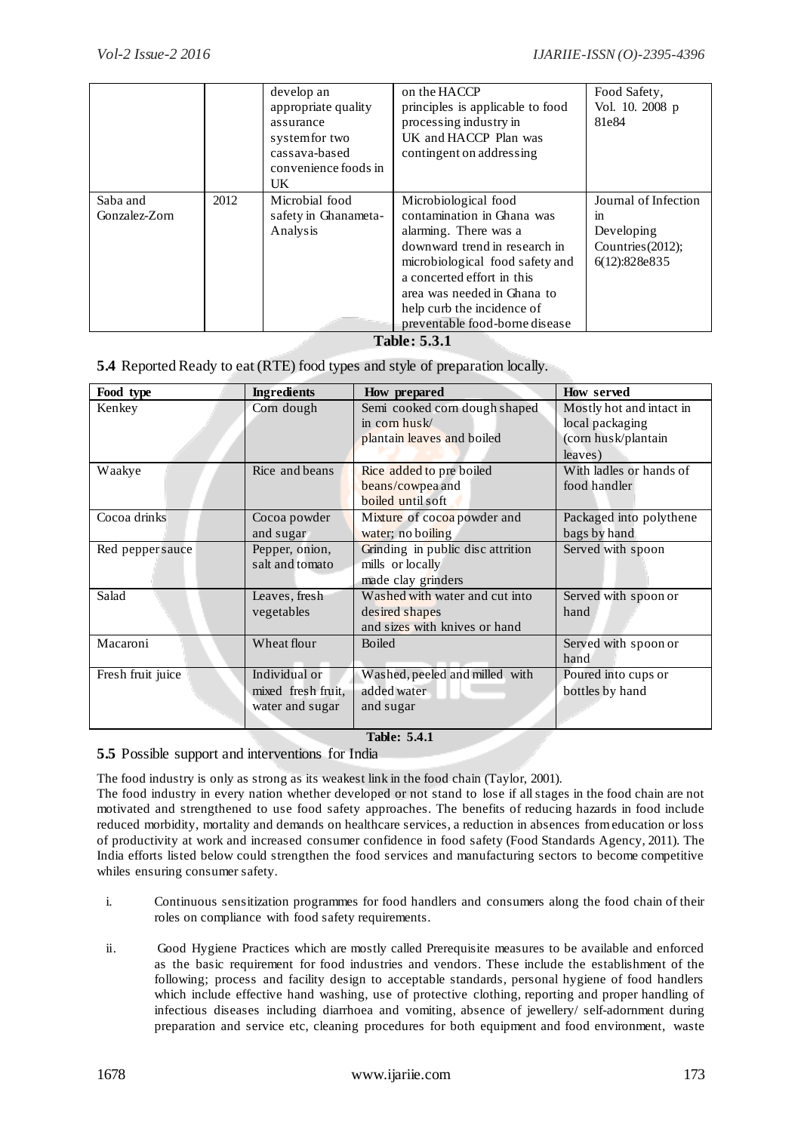|                           |      | develop an<br>appropriate quality<br>assurance<br>system for two<br>cassava-based<br>convenience foods in<br>UK | on the HACCP<br>principles is applicable to food<br>processing industry in<br>UK and HACCP Plan was<br>contingent on addressing                                                                                                                                              | Food Safety,<br>Vol. 10. 2008 p<br>81e84                                          |
|---------------------------|------|-----------------------------------------------------------------------------------------------------------------|------------------------------------------------------------------------------------------------------------------------------------------------------------------------------------------------------------------------------------------------------------------------------|-----------------------------------------------------------------------------------|
| Saba and<br>Gonzalez-Zorn | 2012 | Microbial food<br>safety in Ghanameta-<br>Analysis                                                              | Microbiological food<br>contamination in Ghana was<br>alarming. There was a<br>downward trend in research in<br>microbiological food safety and<br>a concerted effort in this<br>area was needed in Ghana to<br>help curb the incidence of<br>preventable food-borne disease | Journal of Infection<br>1n<br>Developing<br>Countries $(2012)$ ;<br>6(12):828e835 |

#### **Table: 5.3.1**

#### **5.4** Reported Ready to eat (RTE) food types and style of preparation locally.

| Food type         | <b>Ingredients</b>                                     | How prepared                                                                      | How served                                                                    |
|-------------------|--------------------------------------------------------|-----------------------------------------------------------------------------------|-------------------------------------------------------------------------------|
| Kenkey            | Corn dough                                             | Semi cooked corn dough shaped<br>in corn husk/<br>plantain leaves and boiled      | Mostly hot and intact in<br>local packaging<br>(corn husk/plantain<br>leaves) |
| Waakye            | Rice and beans                                         | Rice added to pre boiled<br>beans/cowpea and<br>boiled until soft                 | With ladles or hands of<br>food handler                                       |
| Cocoa drinks      | Cocoa powder<br>and sugar                              | Mixture of cocoa powder and<br>water; no boiling                                  | Packaged into polythene<br>bags by hand                                       |
| Red pepper sauce  | Pepper, onion,<br>salt and tomato                      | Grinding in public disc attrition<br>mills or locally<br>made clay grinders       | Served with spoon                                                             |
| Salad             | Leaves, fresh<br>vegetables                            | Washed with water and cut into<br>desired shapes<br>and sizes with knives or hand | Served with spoon or<br>hand                                                  |
| Macaroni          | Wheat flour                                            | <b>Boiled</b>                                                                     | Served with spoon or<br>hand                                                  |
| Fresh fruit juice | Individual or<br>mixed fresh fruit,<br>water and sugar | Washed, peeled and milled with<br>added water<br>and sugar                        | Poured into cups or<br>bottles by hand                                        |

**Table: 5.4.1**

#### **5.5** Possible support and interventions for India

The food industry is only as strong as its weakest link in the food chain (Taylor, 2001).

The food industry in every nation whether developed or not stand to lose if all stages in the food chain are not motivated and strengthened to use food safety approaches. The benefits of reducing hazards in food include reduced morbidity, mortality and demands on healthcare services, a reduction in absences from education or loss of productivity at work and increased consumer confidence in food safety (Food Standards Agency, 2011). The India efforts listed below could strengthen the food services and manufacturing sectors to become competitive whiles ensuring consumer safety.

- i. Continuous sensitization programmes for food handlers and consumers along the food chain of their roles on compliance with food safety requirements.
- ii. Good Hygiene Practices which are mostly called Prerequisite measures to be available and enforced as the basic requirement for food industries and vendors. These include the establishment of the following; process and facility design to acceptable standards, personal hygiene of food handlers which include effective hand washing, use of protective clothing, reporting and proper handling of infectious diseases including diarrhoea and vomiting, absence of jewellery/ self-adornment during preparation and service etc, cleaning procedures for both equipment and food environment, waste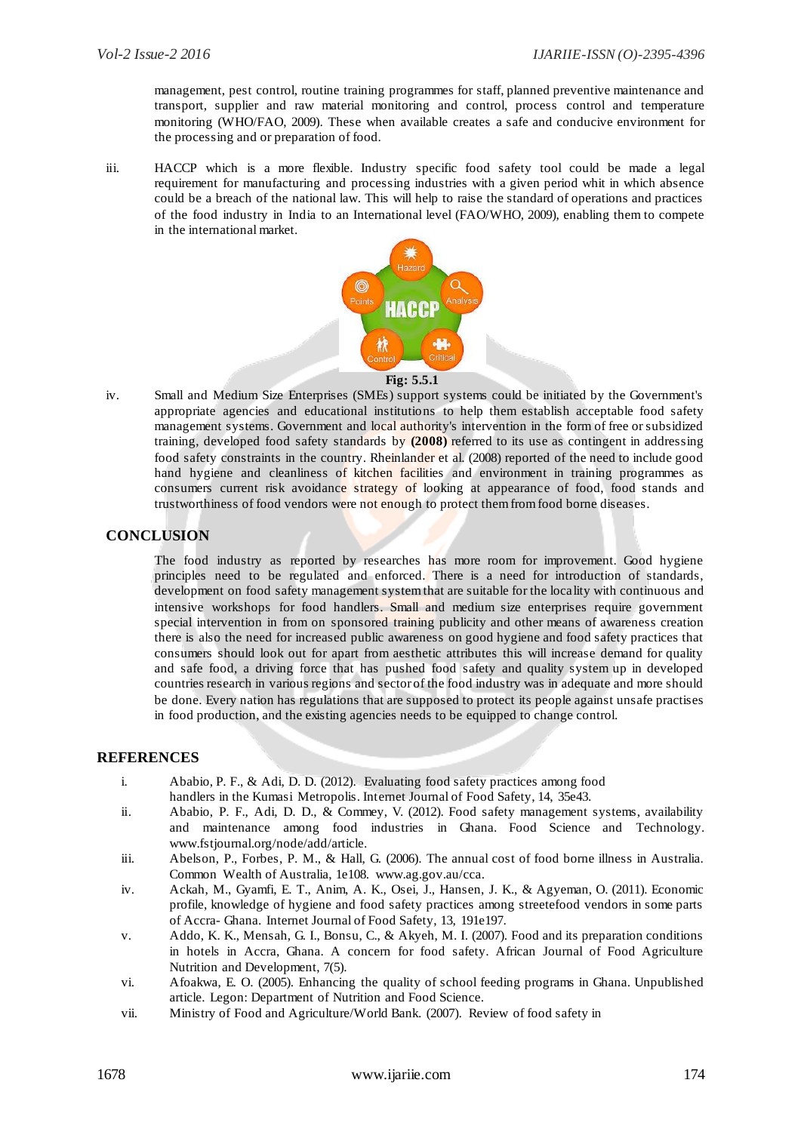management, pest control, routine training programmes for staff, planned preventive maintenance and transport, supplier and raw material monitoring and control, process control and temperature monitoring (WHO/FAO, 2009). These when available creates a safe and conducive environment for the processing and or preparation of food.

iii. HACCP which is a more flexible. Industry specific food safety tool could be made a legal requirement for manufacturing and processing industries with a given period whit in which absence could be a breach of the national law. This will help to raise the standard of operations and practices of the food industry in India to an International level (FAO/WHO, 2009), enabling them to compete in the international market.



iv. Small and Medium Size Enterprises (SMEs) support systems could be initiated by the Government's appropriate agencies and educational institutions to help them establish acceptable food safety management systems. Government and local authority's intervention in the form of free or subsidized training, developed food safety standards by **(2008)** referred to its use as contingent in addressing food safety constraints in the country. Rheinlander et al. (2008) reported of the need to include good hand hygiene and cleanliness of kitchen facilities and environment in training programmes as consumers current risk avoidance strategy of looking at appearance of food, food stands and trustworthiness of food vendors were not enough to protect them from food borne diseases.

#### **CONCLUSION**

The food industry as reported by researches has more room for improvement. Good hygiene principles need to be regulated and enforced. There is a need for introduction of standards, development on food safety management system that are suitable for the locality with continuous and intensive workshops for food handlers. Small and medium size enterprises require government special intervention in from on sponsored training publicity and other means of awareness creation there is also the need for increased public awareness on good hygiene and food safety practices that consumers should look out for apart from aesthetic attributes this will increase demand for quality and safe food, a driving force that has pushed food safety and quality system up in developed countries research in various regions and sector of the food industry was in adequate and more should be done. Every nation has regulations that are supposed to protect its people against unsafe practises in food production, and the existing agencies needs to be equipped to change control.

#### **REFERENCES**

- i. Ababio, P. F., & Adi, D. D. (2012). Evaluating food safety practices among food handlers in the Kumasi Metropolis. Internet Journal of Food Safety, 14, 35e43.
- ii. Ababio, P. F., Adi, D. D., & Commey, V. (2012). Food safety management systems, availability and maintenance among food industries in Ghana. Food Science and Technology. [www.fstjournal.org/node/add/article.](http://www.fstjournal.org/node/add/article.)
- iii. Abelson, P., Forbes, P. M., & Hall, G. (2006). The annual cost of food borne illness in Australia. Common Wealth of Australia, 1e108. [www.ag.gov.au/cca.](http://www.ag.gov.au/cca)
- iv. Ackah, M., Gyamfi, E. T., Anim, A. K., Osei, J., Hansen, J. K., & Agyeman, O. (2011). Economic profile, knowledge of hygiene and food safety practices among streetefood vendors in some parts of Accra- Ghana. Internet Journal of Food Safety, 13, 191e197.
- v. Addo, K. K., Mensah, G. I., Bonsu, C., & Akyeh, M. I. (2007). Food and its preparation conditions in hotels in Accra, Ghana. A concern for food safety. African Journal of Food Agriculture Nutrition and Development, 7(5).
- vi. Afoakwa, E. O. (2005). Enhancing the quality of school feeding programs in Ghana. Unpublished article. Legon: Department of Nutrition and Food Science.
- vii. Ministry of Food and Agriculture/World Bank. (2007). Review of food safety in